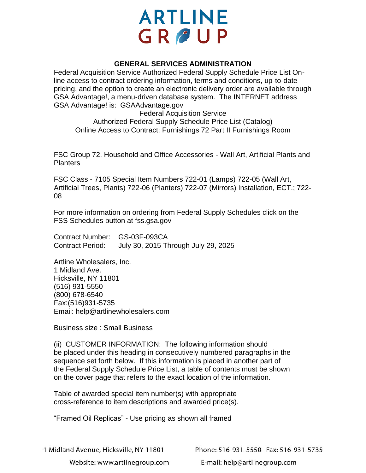## **ARTLINE** GROUP

## **GENERAL SERVICES ADMINISTRATION**

Federal Acquisition Service Authorized Federal Supply Schedule Price List Online access to contract ordering information, terms and conditions, up-to-date pricing, and the option to create an electronic delivery order are available through GSA Advantage!, a menu-driven database system. The INTERNET address GSA Advantage! is: GSAAdvantage.gov

Federal Acquisition Service Authorized Federal Supply Schedule Price List (Catalog) Online Access to Contract: Furnishings 72 Part II Furnishings Room

FSC Group 72. Household and Office Accessories - Wall Art, Artificial Plants and Planters

FSC Class - 7105 Special Item Numbers 722-01 (Lamps) 722-05 (Wall Art, Artificial Trees, Plants) 722-06 (Planters) 722-07 (Mirrors) Installation, ECT.; 722- 08

For more information on ordering from Federal Supply Schedules click on the FSS Schedules button at fss.gsa.gov

Contract Number: GS-03F-093CA Contract Period: July 30, 2015 Through July 29, 2025

Artline Wholesalers, Inc. 1 Midland Ave. Hicksville, NY 11801 (516) 931-5550 (800) 678-6540 Fax:(516)931-5735 Email: help@artlinewholesalers.com

Business size : Small Business

(ii) CUSTOMER INFORMATION: The following information should be placed under this heading in consecutively numbered paragraphs in the sequence set forth below. If this information is placed in another part of the Federal Supply Schedule Price List, a table of contents must be shown on the cover page that refers to the exact location of the information.

Table of awarded special item number(s) with appropriate cross-reference to item descriptions and awarded price(s).

"Framed Oil Replicas" - Use pricing as shown all framed

1 Midland Avenue, Hicksville, NY 11801

Phone: 516-931-5550 Fax: 516-931-5735

Website: www.artlinegroup.com

E-mail: help@artlinegroup.com